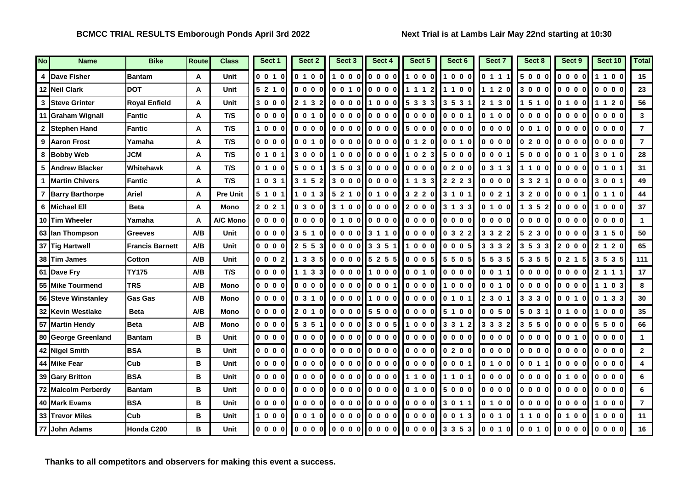| No | <b>Name</b>              | <b>Bike</b>            | Route | <b>Class</b>    | Sect 1  | Sect 2  | Sect 3     | Sect 4                                                                                    | Sect 5  | Sect 6  | Sect 7                                                 | Sect 8  | Sect 9                                                 | Sect 10 | <b>Total</b>   |
|----|--------------------------|------------------------|-------|-----------------|---------|---------|------------|-------------------------------------------------------------------------------------------|---------|---------|--------------------------------------------------------|---------|--------------------------------------------------------|---------|----------------|
|    | <b>Dave Fisher</b>       | <b>Bantam</b>          | A     | Unit            | 0010    | 0 1 0 0 | 1000       | $\begin{array}{ccccccccc}\n0 & 0 & 0 & 0\n\end{array}$                                    | 1000    | 1000    | 0 1 1 1                                                | 5000    | 0000                                                   | 1100    | 15             |
|    | 12 Neil Clark            | <b>DOT</b>             | A     | <b>Unit</b>     | 5 2 1 0 | 0000    | 0010       | 0000                                                                                      | 1 1 1 2 | 1100    | 1 1 2 0                                                | 3000    | 0000                                                   | 0000    | 23             |
| 3  | <b>Steve Grinter</b>     | <b>Royal Enfield</b>   | A     | Unit            | 3000    | 2 1 3 2 | 0000       | 1000                                                                                      | 5 3 3 3 | 3 5 3 1 | 2 1 3 0                                                | 1 5 1 0 | 0100                                                   | 1 1 2 0 | 56             |
| 11 | <b>Graham Wignall</b>    | <b>Fantic</b>          | A     | T/S             | 0000    | 0 0 1 0 | 0000       | $\begin{bmatrix} 0 & 0 & 0 & 0 \end{bmatrix}$                                             | 0000    | 0001    | 0 1 0 0                                                | 0000    | 0000                                                   | 0000    | $\mathbf{3}$   |
| 2  | <b>Stephen Hand</b>      | Fantic                 | A     | T/S             | 1000    | 0000    |            | $ 0000 $ $ 0000 $                                                                         | 5000    | 0000    | 0000                                                   | 0 0 1 0 | $\begin{array}{ccccccccc}\n0 & 0 & 0 & 0\n\end{array}$ | 0000    | $\overline{7}$ |
| 9  | <b>Aaron Frost</b>       | Yamaha                 | Α     | T/S             | 0000    | 0 0 1 0 | 0000       | 0000                                                                                      | 0 1 2 0 | 0 0 1 0 | 0000                                                   | 0200    | 0000                                                   | $0000$  | $\overline{7}$ |
| 8  | <b>Bobby Web</b>         | <b>JCM</b>             | A     | T/S             | 0 1 0 1 | 3000    |            | $\begin{bmatrix} 1 & 0 & 0 & 0 \end{bmatrix} \begin{bmatrix} 0 & 0 & 0 & 0 \end{bmatrix}$ | 1 0 2 3 | 5000    | 0001                                                   | 5000    | 0010                                                   | 3 0 1 0 | 28             |
|    | <b>Andrew Blacker</b>    | Whitehawk              | A     | T/S             | 0 1 0 0 | 5001    | 350<br>-31 | 0000                                                                                      | 0000    | 0200    | 0313                                                   | 1100    | 0000                                                   | 0 1 0 1 | 31             |
|    | 1 <b>IMartin Chivers</b> | Fantic                 | A     | T/S             | 1 0 3 1 | 3 1 5 2 |            | l 3000 l l 000 l                                                                          | 1 1 3 3 | 2 2 2 3 | $\begin{array}{ccccccccc}\n0 & 0 & 0 & 0\n\end{array}$ | 3 3 2 1 | 0000                                                   | 3 0 0 1 | 49             |
|    | <b>Barry Barthorpe</b>   | <b>Ariel</b>           | Α     | <b>Pre Unit</b> | 5 1 0 1 | 1 0 1 3 | 521        | $0$ 0 1 0 0                                                                               | 3 2 2 0 | 3 1 0 1 | 0 0 2 1                                                | 3 2 0 0 | 0001                                                   | 0110    | 44             |
| 6  | <b>Michael Ell</b>       | <b>Beta</b>            | A     | Mono            | 2021    | 0300    | 3 1 0 0    | $\begin{bmatrix} 0 & 0 & 0 & 0 \end{bmatrix}$                                             | 2000    | 3 1 3 3 | 0 1 0 0                                                | 1 3 5 2 | 0000                                                   | 1000    | 37             |
|    | 10 Tim Wheeler           | Yamaha                 | A     | A/C Mono        | 0000    | 0000    |            | $0 1 0 0$ $0 0 0 0$                                                                       | 0000    | 0000    | 0000                                                   | 0000    | 0000                                                   | 0000    | $\mathbf{1}$   |
|    | 63 Ian Thompson          | <b>Greeves</b>         | A/B   | Unit            | 0000    | 3 5 1 0 | 0000       | 3 1 1 0                                                                                   | 0000    | 0 3 2 2 | 3 3 2 2                                                | 5 2 3 0 | 0000                                                   | 3 1 5 0 | 50             |
|    | 37 Tig Hartwell          | <b>Francis Barnett</b> | A/B   | Unit            | 0000    | 2 5 5 3 | 0000       | 3351                                                                                      | 1000    | 0005    | 3 3 3 2                                                | 3 5 3 3 | 2000                                                   | 2 1 2 0 | 65             |
|    | 38 Tim James             | Cotton                 | A/B   | Unit            | 0002    | 1335    | 0000       | 5 2 5 5                                                                                   | 0 0 0 5 | 5 5 0 5 | 5 5 3 5                                                | 5 3 5 5 | 0215                                                   | 3 5 3 5 | 111            |
|    | 61 Dave Fry              | <b>TY175</b>           | A/B   | T/S             | 0000    | 1 1 3 3 | 0000       | 1000                                                                                      | 0 0 1 0 | 0000    | 0 0 1 1                                                | 0000    | $\begin{array}{ccccccccc}\n0 & 0 & 0 & 0\n\end{array}$ | 2 1 1 1 | 17             |
|    | 55 Mike Tourmend         | <b>TRS</b>             | A/B   | <b>Mono</b>     | 0000    | 0000    | 0000       | 0001                                                                                      | 0000    | 1000    | 0 0 1 0                                                | 0000    | 0000                                                   | 1103    | 8              |
|    | 56 Steve Winstanley      | <b>Gas Gas</b>         | A/B   | <b>Mono</b>     | 0000    | 0310    | 0000       | 1000                                                                                      | 0000    | 0 1 0 1 | 2 3 0 1                                                | 3 3 3 0 | 0010                                                   | 0 1 3 3 | 30             |
|    | 32 Kevin Westlake        | <b>Beta</b>            | A/B   | Mono            | 0000    | 2010    |            | 00005500                                                                                  | 0000    | 5 1 0 0 | 0 0 5 0                                                | 5 0 3 1 | 0 1 0 0                                                | 000     | 35             |
|    | 57 Martin Hendy          | <b>Beta</b>            | A/B   | <b>Mono</b>     | 0000    | 5 3 5 1 | 0000       | 3 0 0 5                                                                                   | 1000    | 3 3 1 2 | 3 3 3 2                                                | 3550    | 0000                                                   | 5500    | 66             |
|    | 80 George Greenland      | <b>Bantam</b>          | В     | Unit            | 0000    | 0000    |            | $ 0000 $ $ 0000 $                                                                         | 0000    | 0000    | 0 0 0 0                                                | 0000    | 0 0 1 0                                                | 0000    | $\mathbf{1}$   |
|    | 42 Nigel Smith           | <b>BSA</b>             | в     | Unit            | 0000    | 0000    | 0000       | 0000                                                                                      | 0000    | 0200    | 0000                                                   | 0000    | 0000                                                   | $0000$  | $\mathbf{2}$   |
|    | 44 Mike Fear             | Cub                    | в     | Unit            | $0000$  | 0000    |            | 000000000                                                                                 | 0000    | 0001    | 0100                                                   | 0011    | 0000                                                   | 0000    | 4              |
|    | 39 Gary Britton          | <b>BSA</b>             | в     | <b>Unit</b>     | 0000    | 0000    | 0000       | 0000                                                                                      | 1100    | 1 1 0 1 | 0000                                                   | 0000    | 0 1 0 0                                                | 0000    | 6              |
|    | 72 Malcolm Perberdy      | <b>Bantam</b>          | в     | <b>Unit</b>     | 0000    | 0000    | 0000       |                                                                                           | 0 1 0 0 | 5000    | 0000                                                   | 0000    | $0000$                                                 | $0000$  | 6              |
|    | 40 Mark Evams            | <b>BSA</b>             | в     | Unit            | 0000    | 0000    | 0000       | 0000                                                                                      | 0000    | 3 0 1 1 | 0 1 0 0                                                | 0000    | 0 0 0 0                                                | 000     | $\overline{7}$ |
|    | 33 Trevor Miles          | Cub                    | в     | Unit            | 1000    | 0 0 1 0 | 0000       | 0000                                                                                      | 0000    | 0013    | 0 0 1 0                                                | 1100    | 0 1 0 0                                                | 1000    | 11             |
|    | 77 John Adams            | Honda C200             | B     | Unit            | 0000    | 0000    |            | $ 0\;0\;0\;0   0\;0\;0\;0   0\;0\;0\;0 $                                                  |         | 3353    | 0 0 1 0                                                | 0 0 1 0 | 0000                                                   | 0000    | 16             |

**Thanks to all competitors and observers for making this event a success.**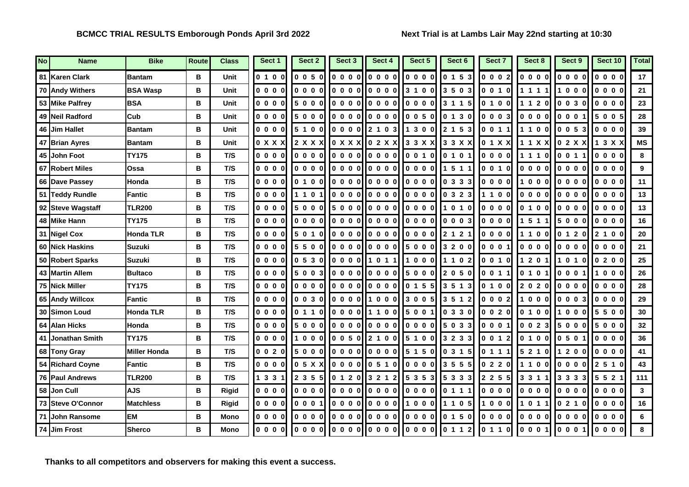| No | <b>Name</b>            | <b>Bike</b>         | Route | <b>Class</b> | Sect 1  | Sect 2                                                 | Sect 3                                                                                                                                                                                                                                                                                                                                                                                                                                                                          | Sect 4                                                                                    | Sect 5  | Sect 6  | Sect 7  | Sect 8     | Sect 9     | Sect 10 | <b>Total</b>   |
|----|------------------------|---------------------|-------|--------------|---------|--------------------------------------------------------|---------------------------------------------------------------------------------------------------------------------------------------------------------------------------------------------------------------------------------------------------------------------------------------------------------------------------------------------------------------------------------------------------------------------------------------------------------------------------------|-------------------------------------------------------------------------------------------|---------|---------|---------|------------|------------|---------|----------------|
|    | 81 Karen Clark         | <b>Bantam</b>       | в     | Unit         | 0 1 0 0 | 0050                                                   | 0000                                                                                                                                                                                                                                                                                                                                                                                                                                                                            | 0000                                                                                      | 0000    | 0 1 5 3 | 0 0 0 2 | 0000       | 0000       | 0000    | 17             |
|    | 70 Andy Withers        | <b>BSA Wasp</b>     | B     | Unit         | 0000    | $\begin{array}{ccccccccc}\n0 & 0 & 0 & 0\n\end{array}$ | 0000                                                                                                                                                                                                                                                                                                                                                                                                                                                                            | 0000                                                                                      | 3 1 0 0 | 3 5 0 3 | 0 0 1 0 | 1 1 1 1    | 1000       | 0000    | 21             |
|    | 53 Mike Palfrey        | <b>BSA</b>          | В     | Unit         | 0000    | 5000                                                   |                                                                                                                                                                                                                                                                                                                                                                                                                                                                                 | $0000$ $0000$                                                                             | 0000    | 3 1 1 5 | 0 1 0 0 | 1 1 2 0    | 0030       | 0000    | 23             |
|    | 49 Neil Radford        | Cub                 | в     | Unit         | 0000    | 5000                                                   | 0000                                                                                                                                                                                                                                                                                                                                                                                                                                                                            | 0000                                                                                      | 0050    | 0 1 3 0 | 0003    | 0000       | 0001       | 5005    | 28             |
|    | 46 Jim Hallet          | <b>Bantam</b>       | в     | Unit         | 0000    | 5 1 0 0                                                | 0 0 0 0                                                                                                                                                                                                                                                                                                                                                                                                                                                                         | 2 1 0 3                                                                                   | 1 3 0 0 | 2 1 5 3 | 0011    | 1100       | 0053       | 0000    | 39             |
|    | 47 Brian Ayres         | <b>Bantam</b>       | в     | <b>Unit</b>  | 0 X X X | 2 X X X                                                |                                                                                                                                                                                                                                                                                                                                                                                                                                                                                 | $\begin{bmatrix} 0 & X & X & X \end{bmatrix} \begin{bmatrix} 0 & 2 & X & X \end{bmatrix}$ | 3 3 X X | 3 3 X X | 0 1 X X | 1 1 X X    | 0 2 X X    | 1 3 X X | <b>MS</b>      |
|    | 45 John Foot           | <b>TY175</b>        | В     | T/S          | 0000    | 0000                                                   | $\overline{\phantom{a}}$ $\overline{\phantom{a}}$ $\overline{\phantom{a}}$ $\overline{\phantom{a}}$ $\overline{\phantom{a}}$ $\overline{\phantom{a}}$ $\overline{\phantom{a}}$ $\overline{\phantom{a}}$ $\overline{\phantom{a}}$ $\overline{\phantom{a}}$ $\overline{\phantom{a}}$ $\overline{\phantom{a}}$ $\overline{\phantom{a}}$ $\overline{\phantom{a}}$ $\overline{\phantom{a}}$ $\overline{\phantom{a}}$ $\overline{\phantom{a}}$ $\overline{\phantom{a}}$ $\overline{\$ | $\begin{bmatrix} 0 & 0 & 0 & 0 \end{bmatrix}$                                             | 0 0 1 0 | 0 1 0 1 | 0000    | 1110       | 0 0 1 1    | $0000$  | 8              |
|    | 67 Robert Miles        | Ossa                | в     | T/S          | 0000    | 0000                                                   | 0000                                                                                                                                                                                                                                                                                                                                                                                                                                                                            | 0000                                                                                      | 0000    | 1 5 1 1 | 0010    | 0000       | 0000       | 0000    | 9              |
|    | 66 Dave Passey         | Honda               | B     | T/S          | 0000    | 0100                                                   | 0000                                                                                                                                                                                                                                                                                                                                                                                                                                                                            | 0000                                                                                      | 0000    | 0333    | $0000$  | 000        | 0000       | 0000    | 11             |
|    | 51 Teddy Rundle        | Fantic              | В     | T/S          | 0000    | 1 1 0 1                                                |                                                                                                                                                                                                                                                                                                                                                                                                                                                                                 | $0.000$ $0.000$                                                                           | 0000    | 0 3 2 3 | 1 1 0 0 | 0000       | $0000$     | 0000    | 13             |
|    | 92 Steve Wagstaff      | <b>TLR200</b>       | В     | T/S          | $0000$  | 5000                                                   | 5000                                                                                                                                                                                                                                                                                                                                                                                                                                                                            | 0000                                                                                      | 0000    | 1 0 1 0 | 0000    | 0 1 0 0    | 0000       | 0000    | 13             |
|    | 48 Mike Hann           | <b>TY175</b>        | B     | T/S          | 0000    | 0000                                                   |                                                                                                                                                                                                                                                                                                                                                                                                                                                                                 | 0.00000000                                                                                | 0000    | 0003    | 0000    | 511        | 5000       | 0000    | 16             |
|    | 31 Nigel Cox           | <b>Honda TLR</b>    | В     | T/S          | 0000    | 5 0 1 0                                                | 0000                                                                                                                                                                                                                                                                                                                                                                                                                                                                            | $\begin{bmatrix} 0 & 0 & 0 & 0 \end{bmatrix}$                                             | 0000    | 2 1 2 1 | 0000    | 1100       | 0 1 2 0    | 2 1 0 0 | 20             |
|    | 60 Nick Haskins        | <b>Suzuki</b>       | В     | T/S          | 0000    | 5500                                                   |                                                                                                                                                                                                                                                                                                                                                                                                                                                                                 | 000000000                                                                                 | 5000    | 3 2 0 0 | 0 0 0 1 | 0000       | 0000       | 0000    | 21             |
|    | 50 Robert Sparks       | <b>Suzuki</b>       | в     | T/S          | 0000    | 0530                                                   | 0000 I                                                                                                                                                                                                                                                                                                                                                                                                                                                                          | 1011                                                                                      | 1000    | 1102    | 0010    | 1201       | l1 0 1 0   | 0200    | 25             |
|    | 43 Martin Allem        | <b>Bultaco</b>      | B     | T/S          | $0000$  | 5 0 0 3                                                |                                                                                                                                                                                                                                                                                                                                                                                                                                                                                 | 000000000                                                                                 | 5000    | 2 0 5 0 | 0011    | 0 1 0 1    | 0001       | 1000    | 26             |
|    | 75 Nick Miller         | <b>TY175</b>        | В     | T/S          | 0000    | 0000                                                   |                                                                                                                                                                                                                                                                                                                                                                                                                                                                                 | loooollooool                                                                              | 0 1 5 5 | 3 5 1 3 | 0 1 0 0 | 2020       | 0000       | $0000$  | 28             |
|    | 65 Andy Willcox        | <b>Fantic</b>       | в     | T/S          | 0000    | 0030                                                   | 0000                                                                                                                                                                                                                                                                                                                                                                                                                                                                            | $\begin{bmatrix} 1 & 0 & 0 & 0 \end{bmatrix}$                                             | 3 0 0 5 | 3 5 1 2 | 0002    | 1000       | 0003       | 0000    | 29             |
|    | 30 Simon Loud          | <b>Honda TLR</b>    | в     | T/S          | 0000    | 0 1 1 0                                                | 0000II                                                                                                                                                                                                                                                                                                                                                                                                                                                                          | 1100                                                                                      | 5 0 0 1 | 0330    | 0 0 2 0 | 0 1 0 0    | 000<br>l 1 | 5500    | 30             |
|    | 64 Alan Hicks          | Honda               | в     | T/S          | $0000$  | 5000                                                   | 0000                                                                                                                                                                                                                                                                                                                                                                                                                                                                            | $\begin{bmatrix} 0 & 0 & 0 & 0 \end{bmatrix}$                                             | 0000    | 5 0 3 3 | 0 0 0 1 | 0 0 2 3    | 5000       | 5000    | 32             |
|    | 41 Jonathan Smith      | <b>TY175</b>        | в     | T/S          | 0000    | 1000                                                   |                                                                                                                                                                                                                                                                                                                                                                                                                                                                                 | $0 0 5 0$     2 1 0 0                                                                     | 5 1 0 0 | 3 2 3 3 | 0 0 1 2 | 0 1 0 0    | 0 5 0 1    | 0000    | 36             |
|    | 68 Tony Gray           | <b>Miller Honda</b> | В     | T/S          | 0020    | 5000                                                   | 0000                                                                                                                                                                                                                                                                                                                                                                                                                                                                            | 0000                                                                                      | 5 1 5 0 | 0315    | 0 1 1 1 | 5 2 1 0    | 1200       | 0000    | 41             |
|    | 54 Richard Coyne       | <b>Fantic</b>       | В     | T/S          | 0000    | 0 5 X X                                                |                                                                                                                                                                                                                                                                                                                                                                                                                                                                                 | 0000000510                                                                                | 0000    | 3 5 5 5 | 0 2 2 0 | 1100       | 0000       | 2 5 1 0 | 43             |
|    | <b>76 Paul Andrews</b> | <b>TLR200</b>       | в     | T/S          | 1 3 3 1 | 2 3 5 5                                                | 0 1 2 0                                                                                                                                                                                                                                                                                                                                                                                                                                                                         | 3 2 1 2                                                                                   | 5 3 5 3 | 5 3 3 3 | 2 2 5 5 | 3311       | 3 3 3 3    | 5 5 2 1 | 111            |
|    | 58 Jon Cull            | <b>AJS</b>          | B     | <b>Rigid</b> | 0000    | 0000                                                   | 0000                                                                                                                                                                                                                                                                                                                                                                                                                                                                            | 0000                                                                                      | 0000    | 0 1 1 1 | 0000    | 0000       | 0000       | $0000$  | $\overline{3}$ |
|    | 73 Steve O'Connor      | <b>Matchless</b>    | в     | <b>Rigid</b> | 0000    | 0001                                                   | 0000                                                                                                                                                                                                                                                                                                                                                                                                                                                                            | 0000                                                                                      | 1000    | 1 1 0 5 | 1000    | 011<br>l 1 | 0210       | 0000    | 16             |
|    | 71 John Ransome        | <b>EM</b>           | в     | Mono         | 0000    | 0000                                                   | 0000                                                                                                                                                                                                                                                                                                                                                                                                                                                                            | 0000                                                                                      | 0000    | 0 1 5 0 | 0000    | 0000       | 0000       | 0000    | 6              |
|    | 74 Jim Frost           | <b>Sherco</b>       | В     | <b>Mono</b>  | 0000    | $\begin{array}{ccccccccc}\n0 & 0 & 0 & 0\n\end{array}$ |                                                                                                                                                                                                                                                                                                                                                                                                                                                                                 | $0000$ $000$                                                                              | 0000    | 0 1 1 2 | 0 1 1 0 | 0001       | 0001       | 0000    | 8              |

**Thanks to all competitors and observers for making this event a success.**